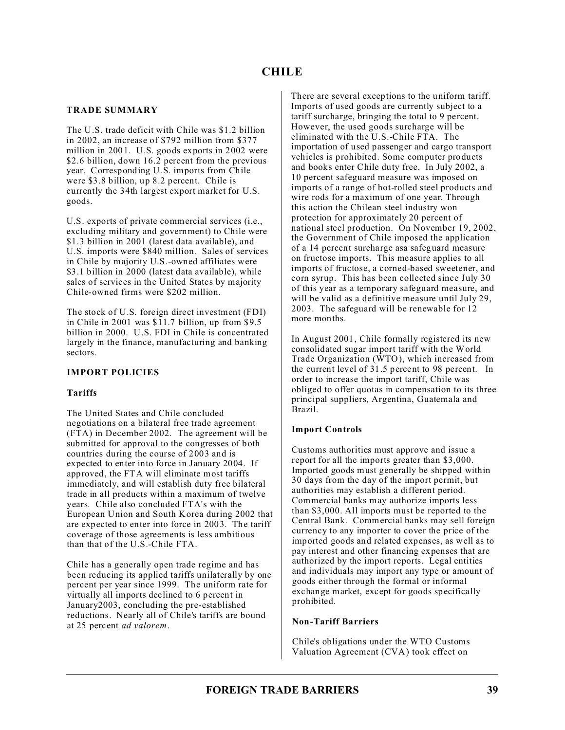## **TRADE SUMMARY**

The U.S. trade deficit with Chile was \$1.2 billion in 2002, an increase of \$792 million from \$377 million in 2001. U.S. goods exports in 2002 were \$2.6 billion, down 16.2 percent from the previous year. Corresponding U.S. imports from Chile were \$3.8 billion, up 8.2 percent. Chile is currently the 34th largest export market for U.S. goods.

U.S. exports of private commercial services (i.e., excluding military and government) to Chile were \$1.3 billion in 2001 (latest data available), and U.S. imports were \$840 million. Sales of services in Chile by majority U.S.-owned affiliates were \$3.1 billion in 2000 (latest data available), while sales of services in the United States by majority Chile-owned firms were \$202 million.

The stock of U.S. foreign direct investment (FDI) in Chile in 2001 was \$11.7 billion, up from \$9.5 billion in 2000. U.S. FDI in Chile is concentrated largely in the finance, manufacturing and banking sectors.

## **IMPORT POLICIES**

## **Tariffs**

The United States and Chile concluded negotiations on a bilateral free trade agreement (FTA) in December 2002. The agreement will be submitted for approval to the congresses of both countries during the course of 2003 and is expected to enter into force in January 2004. If approved, the FTA will eliminate most tariffs immediately, and will establish duty free bilateral trade in all products within a maximum of twelve years. Chile also concluded FTA's with the European Union and South Korea during 2002 that are expected to enter into force in 2003. The tariff coverage of those agreements is less ambitious than that of the U.S.-Chile FTA.

Chile has a generally open trade regime and has been reducing its applied tariffs unilaterally by one percent per year since 1999. The uniform rate for virtually all imports declined to 6 percent in January2003, concluding the pre-established reductions. Nearly all of Chile's tariffs are bound at 25 percent *ad valorem*.

There are several exceptions to the uniform tariff. Imports of used goods are currently subject to a tariff surcharge, bringing the total to 9 percent. However, the used goods surcharge will be eliminated with the U.S.-Chile FTA. The importation of used passenger and cargo transport vehicles is prohibited. Some computer products and books enter Chile duty free. In July 2002, a 10 percent safeguard measure was imposed on imports of a range of hot-rolled steel products and wire rods for a maximum of one year. Through this action the Chilean steel industry won protection for approximately 20 percent of national steel production. On November 19, 2002, the Government of Chile imposed the application of a 14 percent surcharge asa safeguard measure on fructose imports. This measure applies to all imports of fructose, a corned-based sweetener, and corn syrup. This has been collected since July 30 of this year as a temporary safeguard measure, and will be valid as a definitive measure until July 29, 2003. The safeguard will be renewable for 12 more months.

In August 2001, Chile formally registered its new consolidated sugar import tariff with the World Trade Organization (WTO), which increased from the current level of 31.5 percent to 98 percent. In order to increase the import tariff, Chile was obliged to offer quotas in compensation to its three principal suppliers, Argentina, Guatemala and Brazil.

## **Import Controls**

Customs authorities must approve and issue a report for all the imports greater than \$3,000. Imported goods must generally be shipped within 30 days from the day of the import permit, but authorities may establish a different period. Commercial banks may authorize imports less than \$3,000. All imports must be reported to the Central Bank. Commercial banks may sell foreign currency to any importer to cover the price of the imported goods and related expenses, as well as to pay interest and other financing expenses that are authorized by the import reports. Legal entities and individuals may import any type or amount of goods either through the formal or informal exchange market, except for goods specifically prohibited.

## **Non-Tariff Barriers**

Chile's obligations under the WTO Customs Valuation Agreement (CVA) took effect on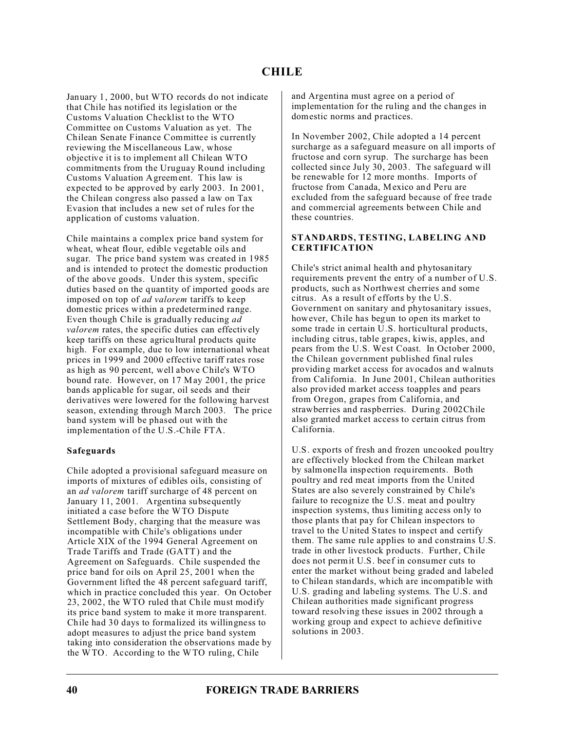January 1, 2000, but WTO records do not indicate that Chile has notified its legislation or the Customs Valuation Checklist to the WTO Committee on Customs Valuation as yet. The Chilean Senate Finance Committee is currently reviewing the Miscellaneous Law, whose objective it is to implement all Chilean WTO commitments from the Uruguay Round including Customs Valuation Agreement. This law is expected to be approved by early 2003. In 2001, the Chilean congress also passed a law on Tax Evasion that includes a new set of rules for the application of customs valuation.

Chile maintains a complex price band system for wheat, wheat flour, edible vegetable oils and sugar. The price band system was created in 1985 and is intended to protect the domestic production of the above goods. Under this system, specific duties based on the quantity of imported goods are imposed on top of *ad valorem* tariffs to keep domestic prices within a predetermined range. Even though Chile is gradually reducing *ad valorem* rates, the specific duties can effectively keep tariffs on these agricultural products quite high. For example, due to low international wheat prices in 1999 and 2000 effective tariff rates rose as high as 90 percent, well above Chile's WTO bound rate. However, on 17 May 2001, the price bands applicable for sugar, oil seeds and their derivatives were lowered for the following harvest season, extending through March 2003. The price band system will be phased out with the implementation of the U.S.-Chile FTA.

## **Safeguards**

Chile adopted a provisional safeguard measure on imports of mixtures of edibles oils, consisting of an *ad valorem* tariff surcharge of 48 percent on January 11, 2001. Argentina subsequently initiated a case before the WTO Dispute Settlement Body, charging that the measure was incompatible with Chile's obligations under Article XIX of the 1994 General Agreement on Trade Tariffs and Trade (GATT) and the Agreement on Safeguards. Chile suspended the price band for oils on April 25, 2001 when the Government lifted the 48 percent safeguard tariff, which in practice concluded this year. On October 23, 2002, the WTO ruled that Chile must modify its price band system to make it more transparent. Chile had 30 days to formalized its willingness to adopt measures to adjust the price band system taking into consideration the observations made by the WTO. According to the WTO ruling, Chile

and Argentina must agree on a period of implementation for the ruling and the changes in domestic norms and practices.

In November 2002, Chile adopted a 14 percent surcharge as a safeguard measure on all imports of fructose and corn syrup. The surcharge has been collected since July 30, 2003. The safeguard will be renewable for 12 more months. Imports of fructose from Canada, Mexico and Peru are excluded from the safeguard because of free trade and commercial agreements between Chile and these countries.

#### **STANDARDS, TESTING, LABELING AND CERTIFICATION**

Chile's strict animal health and phytosanitary requirements prevent the entry of a number of U.S. products, such as Northwest cherries and some citrus. As a result of efforts by the U.S. Government on sanitary and phytosanitary issues, however, Chile has begun to open its market to some trade in certain U.S. horticultural products, including citrus, table grapes, kiwis, apples, and pears from the U.S. West Coast. In October 2000, the Chilean government published final rules providing market access for avocados and walnuts from California. In June 2001, Chilean authorities also provided market access toapples and pears from Oregon, grapes from California, and strawberries and raspberries. During 2002Chile also granted market access to certain citrus from California.

U.S. exports of fresh and frozen uncooked poultry are effectively blocked from the Chilean market by salmonella inspection requirements. Both poultry and red meat imports from the United States are also severely constrained by Chile's failure to recognize the U.S. meat and poultry inspection systems, thus limiting access only to those plants that pay for Chilean inspectors to travel to the United States to inspect and certify them. The same rule applies to and constrains U.S. trade in other livestock products. Further, Chile does not permit U.S. beef in consumer cuts to enter the market without being graded and labeled to Chilean standards, which are incompatible with U.S. grading and labeling systems. The U.S. and Chilean authorities made significant progress toward resolving these issues in 2002 through a working group and expect to achieve definitive solutions in 2003.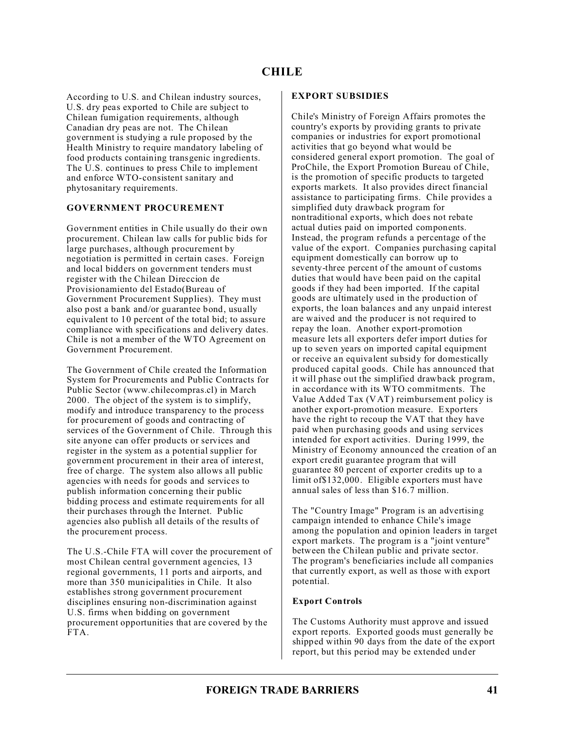According to U.S. and Chilean industry sources, U.S. dry peas exported to Chile are subject to Chilean fumigation requirements, although Canadian dry peas are not. The Chilean government is studying a rule proposed by the Health Ministry to require mandatory labeling of food products containing transgenic ingredients. The U.S. continues to press Chile to implement and enforce WTO-consistent sanitary and phytosanitary requirements.

## **GOVERNMENT PROCUREMENT**

Government entities in Chile usually do their own procurement. Chilean law calls for public bids for large purchases, although procurement by negotiation is permitted in certain cases. Foreign and local bidders on government tenders must register with the Chilean Direccion de Provisionamiento del Estado(Bureau of Government Procurement Supplies). They must also post a bank and/or guarantee bond, usually equivalent to 10 percent of the total bid; to assure compliance with specifications and delivery dates. Chile is not a member of the WTO Agreement on Government Procurement.

The Government of Chile created the Information System for Procurements and Public Contracts for Public Sector (www.chilecompras.cl) in March 2000. The object of the system is to simplify, modify and introduce transparency to the process for procurement of goods and contracting of services of the Government of Chile. Through this site anyone can offer products or services and register in the system as a potential supplier for government procurement in their area of interest, free of charge. The system also allows all public agencies with needs for goods and services to publish information concerning their public bidding process and estimate requirements for all their purchases through the Internet. Public agencies also publish all details of the results of the procurement process.

The U.S.-Chile FTA will cover the procurement of most Chilean central government agencies, 13 regional governments, 11 ports and airports, and more than 350 municipalities in Chile. It also establishes strong government procurement disciplines ensuring non-discrimination against U.S. firms when bidding on government procurement opportunities that are covered by the FTA.

#### **EXPORT SUBSIDIES**

Chile's Ministry of Foreign Affairs promotes the country's exports by providing grants to private companies or industries for export promotional activities that go beyond what would be considered general export promotion. The goal of ProChile, the Export Promotion Bureau of Chile, is the promotion of specific products to targeted exports markets. It also provides direct financial assistance to participating firms. Chile provides a simplified duty drawback program for nontraditional exports, which does not rebate actual duties paid on imported components. Instead, the program refunds a percentage of the value of the export. Companies purchasing capital equipment domestically can borrow up to seventy-three percent of the amount of customs duties that would have been paid on the capital goods if they had been imported. If the capital goods are ultimately used in the production of exports, the loan balances and any unpaid interest are waived and the producer is not required to repay the loan. Another export-promotion measure lets all exporters defer import duties for up to seven years on imported capital equipment or receive an equivalent subsidy for domestically produced capital goods. Chile has announced that it will phase out the simplified drawback program, in accordance with its WTO commitments. The Value Added Tax (VAT) reimbursement policy is another export-promotion measure. Exporters have the right to recoup the VAT that they have paid when purchasing goods and using services intended for export activities. During 1999, the Ministry of Economy announced the creation of an export credit guarantee program that will guarantee 80 percent of exporter credits up to a limit of \$132,000. Eligible exporters must have annual sales of less than \$16.7 million.

The "Country Image" Program is an advertising campaign intended to enhance Chile's image among the population and opinion leaders in target export markets. The program is a "joint venture" between the Chilean public and private sector. The program's beneficiaries include all companies that currently export, as well as those with export potential.

## **Export Controls**

The Customs Authority must approve and issued export reports. Exported goods must generally be shipped within 90 days from the date of the export report, but this period may be extended under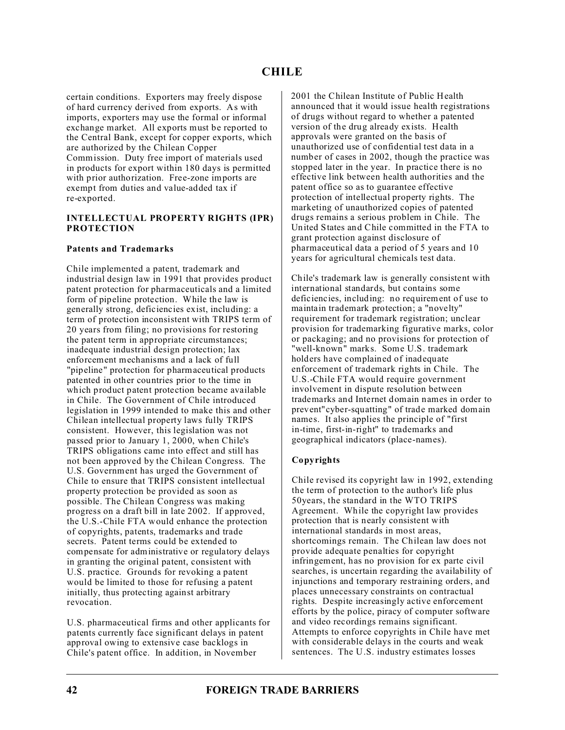certain conditions. Exporters may freely dispose of hard currency derived from exports. As with imports, exporters may use the formal or informal exchange market. All exports must be reported to the Central Bank, except for copper exports, which are authorized by the Chilean Copper Commission. Duty free import of materials used in products for export within 180 days is permitted with prior authorization. Free-zone imports are exempt from duties and value-added tax if re-exported.

#### **INTELLECTUAL PROPERTY RIGHTS (IPR) PROTECTION**

#### **Patents and Trademarks**

Chile implemented a patent, trademark and industrial design law in 1991 that provides product patent protection for pharmaceuticals and a limited form of pipeline protection. While the law is generally strong, deficiencies exist, including: a term of protection inconsistent with TRIPS term of 20 years from filing; no provisions for restoring the patent term in appropriate circumstances; inadequate industrial design protection; lax enforcement mechanisms and a lack of full "pipeline" protection for pharmaceutical products patented in other countries prior to the time in which product patent protection became available in Chile. The Government of Chile introduced legislation in 1999 intended to make this and other Chilean intellectual property laws fully TRIPS consistent. However, this legislation was not passed prior to January 1, 2000, when Chile's TRIPS obligations came into effect and still has not been approved by the Chilean Congress. The U.S. Government has urged the Government of Chile to ensure that TRIPS consistent intellectual property protection be provided as soon as possible. The Chilean Congress was making progress on a draft bill in late 2002. If approved, the U.S.-Chile FTA would enhance the protection of copyrights, patents, trademarks and trade secrets. Patent terms could be extended to compensate for administrative or regulatory delays in granting the original patent, consistent with U.S. practice. Grounds for revoking a patent would be limited to those for refusing a patent initially, thus protecting against arbitrary revocation.

U.S. pharmaceutical firms and other applicants for patents currently face significant delays in patent approval owing to extensive case backlogs in Chile's patent office. In addition, in November

2001 the Chilean Institute of Public Health announced that it would issue health registrations of drugs without regard to whether a patented version of the drug already exists. Health approvals were granted on the basis of unauthorized use of confidential test data in a number of cases in 2002, though the practice was stopped later in the year. In practice there is no effective link between health authorities and the patent office so as to guarantee effective protection of intellectual property rights. The marketing of unauthorized copies of patented drugs remains a serious problem in Chile. The United States and Chile committed in the FTA to grant protection against disclosure of pharmaceutical data a period of 5 years and 10 years for agricultural chemicals test data.

Chile's trademark law is generally consistent with international standards, but contains some deficiencies, including: no requirement of use to maintain trademark protection; a "novelty" requirement for trademark registration; unclear provision for trademarking figurative marks, color or packaging; and no provisions for protection of "well-known" marks. Some U.S. trademark holders have complained of inadequate enforcement of trademark rights in Chile. The U.S.-Chile FTA would require government involvement in dispute resolution between trademarks and Internet domain names in order to prevent"cyber-squatting" of trade marked domain names. It also applies the principle of "first in-time, first-in-right" to trademarks and geographical indicators (place-names).

## **Copyrights**

Chile revised its copyright law in 1992, extending the term of protection to the author's life plus 50years, the standard in the WTO TRIPS Agreement. While the copyright law provides protection that is nearly consistent with international standards in most areas, shortcomings remain. The Chilean law does not provide adequate penalties for copyright infringement, has no provision for ex parte civil searches, is uncertain regarding the availability of injunctions and temporary restraining orders, and places unnecessary constraints on contractual rights. Despite increasingly active enforcement efforts by the police, piracy of computer software and video recordings remains significant. Attempts to enforce copyrights in Chile have met with considerable delays in the courts and weak sentences. The U.S. industry estimates losses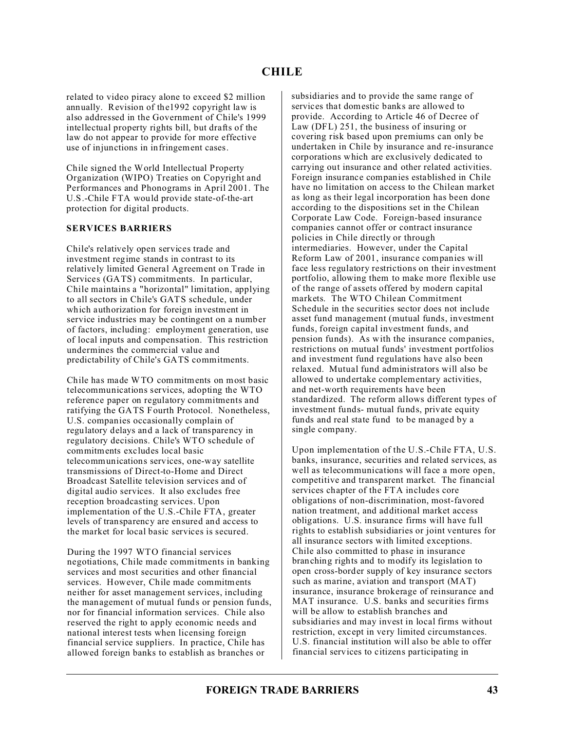related to video piracy alone to exceed \$2 million annually. Revision of the1992 copyright law is also addressed in the Government of Chile's 1999 intellectual property rights bill, but drafts of the law do not appear to provide for more effective use of injunctions in infringement cases.

Chile signed the World Intellectual Property Organization (WIPO) Treaties on Copyright and Performances and Phonograms in April 2001. The U.S.-Chile FTA would provide state-of-the-art protection for digital products.

#### **SERVICES BARRIERS**

Chile's relatively open services trade and investment regime stands in contrast to its relatively limited General Agreement on Trade in Services (GATS) commitments. In particular, Chile maintains a "horizontal" limitation, applying to all sectors in Chile's GATS schedule, under which authorization for foreign investment in service industries may be contingent on a number of factors, including: employment generation, use of local inputs and compensation. This restriction undermines the commercial value and predictability of Chile's GATS commitments.

Chile has made WTO commitments on most basic telecommunications services, adopting the WTO reference paper on regulatory commitments and ratifying the GATS Fourth Protocol. Nonetheless, U.S. companies occasionally complain of regulatory delays and a lack of transparency in regulatory decisions. Chile's WTO schedule of commitments excludes local basic telecommunications services, one-way satellite transmissions of Direct-to-Home and Direct Broadcast Satellite television services and of digital audio services. It also excludes free reception broadcasting services. Upon implementation of the U.S.-Chile FTA, greater levels of transparency are ensured and access to the market for local basic services is secured.

During the 1997 WTO financial services negotiations, Chile made commitments in banking services and most securities and other financial services. However, Chile made commitments neither for asset management services, including the management of mutual funds or pension funds, nor for financial information services. Chile also reserved the right to apply economic needs and national interest tests when licensing foreign financial service suppliers. In practice, Chile has allowed foreign banks to establish as branches or

subsidiaries and to provide the same range of services that domestic banks are allowed to provide. According to Article 46 of Decree of Law (DFL) 251, the business of insuring or covering risk based upon premiums can only be undertaken in Chile by insurance and re-insurance corporations which are exclusively dedicated to carrying out insurance and other related activities. Foreign insurance companies established in Chile have no limitation on access to the Chilean market as long as their legal incorporation has been done according to the dispositions set in the Chilean Corporate Law Code. Foreign-based insurance companies cannot offer or contract insurance policies in Chile directly or through intermediaries. However, under the Capital Reform Law of 2001, insurance companies will face less regulatory restrictions on their investment portfolio, allowing them to make more flexible use of the range of assets offered by modern capital markets. The WTO Chilean Commitment Schedule in the securities sector does not include asset fund management (mutual funds, investment funds, foreign capital investment funds, and pension funds). As with the insurance companies, restrictions on mutual funds' investment portfolios and investment fund regulations have also been relaxed. Mutual fund administrators will also be allowed to undertake complementary activities, and net-worth requirements have been standardized. The reform allows different types of investment funds- mutual funds, private equity funds and real state fund to be managed by a single company.

Upon implementation of the U.S.-Chile FTA, U.S. banks, insurance, securities and related services, as well as telecommunications will face a more open, competitive and transparent market. The financial services chapter of the FTA includes core obligations of non-discrimination, most-favored nation treatment, and additional market access obligations. U.S. insurance firms will have full rights to establish subsidiaries or joint ventures for all insurance sectors with limited exceptions. Chile also committed to phase in insurance branching rights and to modify its legislation to open cross-border supply of key insurance sectors such as marine, aviation and transport (MAT) insurance, insurance brokerage of reinsurance and MAT insurance. U.S. banks and securities firms will be allow to establish branches and subsidiaries and may invest in local firms without restriction, except in very limited circumstances. U.S. financial institution will also be able to offer financial services to citizens participating in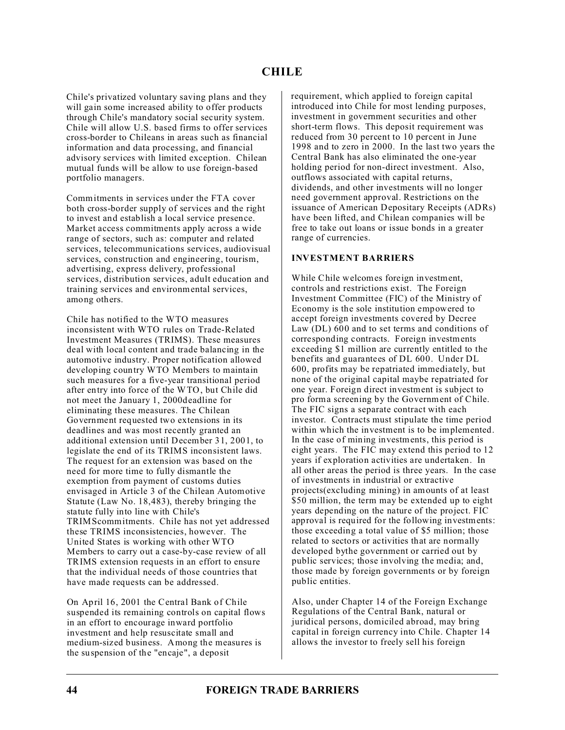Chile's privatized voluntary saving plans and they will gain some increased ability to offer products through Chile's mandatory social security system. Chile will allow U.S. based firms to offer services cross-border to Chileans in areas such as financial information and data processing, and financial advisory services with limited exception. Chilean mutual funds will be allow to use foreign-based portfolio managers.

Commitments in services under the FTA cover both cross-border supply of services and the right to invest and establish a local service presence. Market access commitments apply across a wide range of sectors, such as: computer and related services, telecommunications services, audiovisual services, construction and engineering, tourism, advertising, express delivery, professional services, distribution services, adult education and training services and environmental services, among others.

Chile has notified to the WTO measures inconsistent with WTO rules on Trade-Related Investment Measures (TRIMS). These measures deal with local content and trade balancing in the automotive industry. Proper notification allowed developing country WTO Members to maintain such measures for a five-year transitional period after entry into force of the WTO, but Chile did not meet the January 1, 2000deadline for eliminating these measures. The Chilean Government requested two extensions in its deadlines and was most recently granted an additional extension until December 31, 2001, to legislate the end of its TRIMS inconsistent laws. The request for an extension was based on the need for more time to fully dismantle the exemption from payment of customs duties envisaged in Article 3 of the Chilean Automotive Statute (Law No. 18,483), thereby bringing the statute fully into line with Chile's TRIMScommitments. Chile has not yet addressed these TRIMS inconsistencies, however. The United States is working with other WTO Members to carry out a case-by-case review of all TRIMS extension requests in an effort to ensure that the individual needs of those countries that have made requests can be addressed.

On April 16, 2001 the Central Bank of Chile suspended its remaining controls on capital flows in an effort to encourage inward portfolio investment and help resuscitate small and medium-sized business. Among the measures is the suspension of the "encaje", a deposit

requirement, which applied to foreign capital introduced into Chile for most lending purposes, investment in government securities and other short-term flows. This deposit requirement was reduced from 30 percent to 10 percent in June 1998 and to zero in 2000. In the last two years the Central Bank has also eliminated the one-year holding period for non-direct investment. Also, outflows associated with capital returns, dividends, and other investments will no longer need government approval. Restrictions on the issuance of American Depositary Receipts (ADRs) have been lifted, and Chilean companies will be free to take out loans or issue bonds in a greater range of currencies.

## **INVESTMENT BARRIERS**

While Chile welcomes foreign investment, controls and restrictions exist. The Foreign Investment Committee (FIC) of the Ministry of Economy is the sole institution empowered to accept foreign investments covered by Decree Law (DL) 600 and to set terms and conditions of corresponding contracts. Foreign investments exceeding \$1 million are currently entitled to the benefits and guarantees of DL 600. Under DL 600, profits may be repatriated immediately, but none of the original capital maybe repatriated for one year. Foreign direct investment is subject to pro forma screening by the Government of Chile. The FIC signs a separate contract with each investor. Contracts must stipulate the time period within which the investment is to be implemented. In the case of mining investments, this period is eight years. The FIC may extend this period to 12 years if exploration activities are undertaken. In all other areas the period is three years. In the case of investments in industrial or extractive projects(excluding mining) in amounts of at least \$50 million, the term may be extended up to eight years depending on the nature of the project. FIC approval is required for the following investments: those exceeding a total value of \$5 million; those related to sectors or activities that are normally developed bythe government or carried out by public services; those involving the media; and, those made by foreign governments or by foreign public entities.

Also, under Chapter 14 of the Foreign Exchange Regulations of the Central Bank, natural or juridical persons, domiciled abroad, may bring capital in foreign currency into Chile. Chapter 14 allows the investor to freely sell his foreign